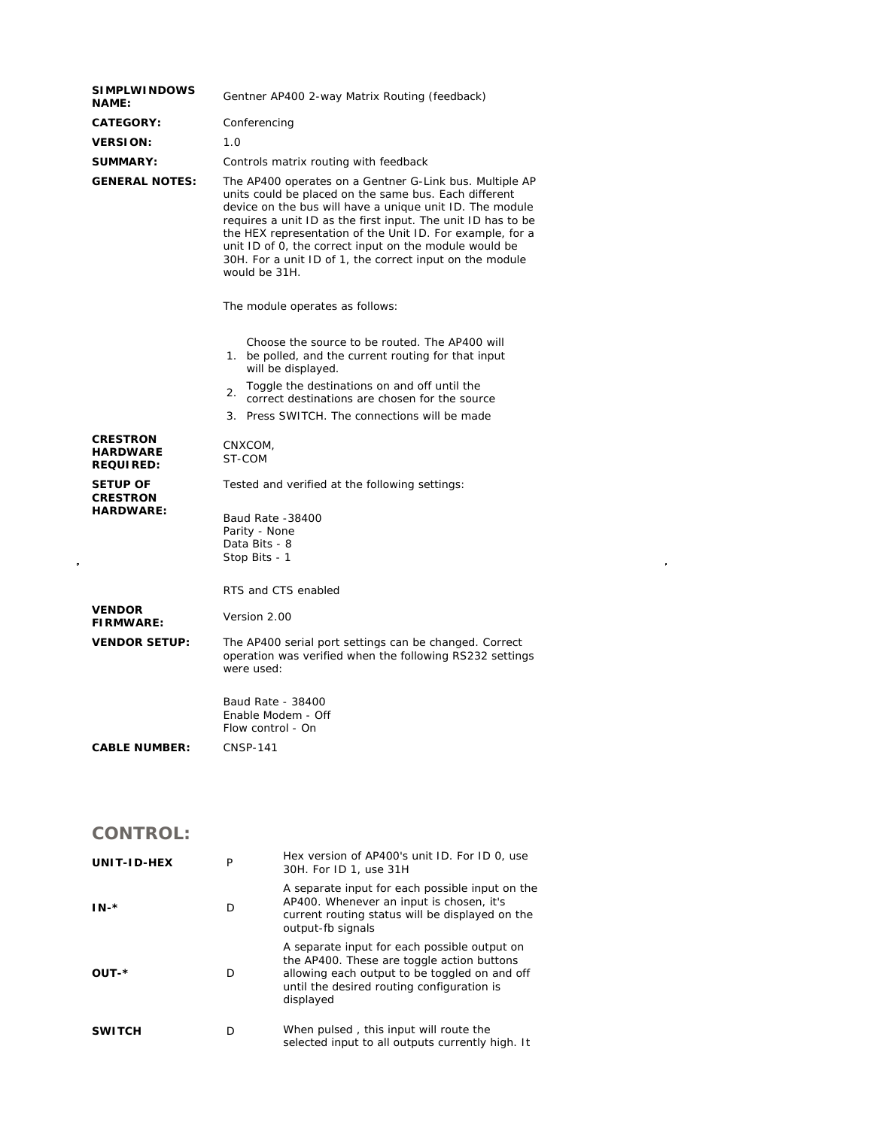| <b>SIMPLWINDOWS</b><br><b>NAME:</b>                    | Gentner AP400 2-way Matrix Routing (feedback)                                                                                                                                                                                                                                                                                                                                                                                                    |  |  |
|--------------------------------------------------------|--------------------------------------------------------------------------------------------------------------------------------------------------------------------------------------------------------------------------------------------------------------------------------------------------------------------------------------------------------------------------------------------------------------------------------------------------|--|--|
| <b>CATEGORY:</b>                                       | Conferencing                                                                                                                                                                                                                                                                                                                                                                                                                                     |  |  |
| <b>VERSION:</b>                                        | 1.0                                                                                                                                                                                                                                                                                                                                                                                                                                              |  |  |
| <b>SUMMARY:</b>                                        | Controls matrix routing with feedback                                                                                                                                                                                                                                                                                                                                                                                                            |  |  |
| <b>GENERAL NOTES:</b>                                  | The AP400 operates on a Gentner G-Link bus. Multiple AP<br>units could be placed on the same bus. Each different<br>device on the bus will have a unique unit ID. The module<br>requires a unit ID as the first input. The unit ID has to be<br>the HEX representation of the Unit ID. For example, for a<br>unit ID of 0, the correct input on the module would be<br>30H. For a unit ID of 1, the correct input on the module<br>would be 31H. |  |  |
|                                                        | The module operates as follows:                                                                                                                                                                                                                                                                                                                                                                                                                  |  |  |
|                                                        | Choose the source to be routed. The AP400 will<br>1. be polled, and the current routing for that input<br>will be displayed.                                                                                                                                                                                                                                                                                                                     |  |  |
|                                                        | Toggle the destinations on and off until the<br>2.<br>correct destinations are chosen for the source                                                                                                                                                                                                                                                                                                                                             |  |  |
|                                                        | 3. Press SWITCH. The connections will be made                                                                                                                                                                                                                                                                                                                                                                                                    |  |  |
| <b>CRESTRON</b><br><b>HARDWARE</b><br><b>REQUIRED:</b> | CNXCOM,<br>ST-COM                                                                                                                                                                                                                                                                                                                                                                                                                                |  |  |
| <b>SETUP OF</b><br><b>CRESTRON</b>                     | Tested and verified at the following settings:                                                                                                                                                                                                                                                                                                                                                                                                   |  |  |
| <b>HARDWARE:</b>                                       | Baud Rate -38400<br>Parity - None<br>Data Bits - 8<br>Stop Bits - 1<br>RTS and CTS enabled                                                                                                                                                                                                                                                                                                                                                       |  |  |
| <b>VENDOR</b><br><b>FIRMWARE:</b>                      | Version 2.00                                                                                                                                                                                                                                                                                                                                                                                                                                     |  |  |
| <b>VENDOR SETUP:</b>                                   | The AP400 serial port settings can be changed. Correct<br>operation was verified when the following RS232 settings<br>were used:                                                                                                                                                                                                                                                                                                                 |  |  |
|                                                        | Baud Rate - 38400<br>Enable Modem - Off<br>Flow control - On                                                                                                                                                                                                                                                                                                                                                                                     |  |  |
| <b>CABLE NUMBER:</b>                                   | <b>CNSP-141</b>                                                                                                                                                                                                                                                                                                                                                                                                                                  |  |  |
| <b>CONTROL:</b>                                        |                                                                                                                                                                                                                                                                                                                                                                                                                                                  |  |  |

 $\label{eq:2.1} \frac{1}{\sqrt{2}}\int_{\mathbb{R}^3}\frac{1}{\sqrt{2}}\left(\frac{1}{\sqrt{2}}\right)^2\frac{1}{\sqrt{2}}\left(\frac{1}{\sqrt{2}}\right)^2\frac{1}{\sqrt{2}}\left(\frac{1}{\sqrt{2}}\right)^2\frac{1}{\sqrt{2}}\left(\frac{1}{\sqrt{2}}\right)^2.$ 

| UNIT-ID-HEX   | P | Hex version of AP400's unit ID. For ID 0, use<br>30H. For ID 1, use 31H                                                                                                                                |
|---------------|---|--------------------------------------------------------------------------------------------------------------------------------------------------------------------------------------------------------|
| $IN-*$        | D | A separate input for each possible input on the<br>AP400. Whenever an input is chosen, it's<br>current routing status will be displayed on the<br>output-fb signals                                    |
| OUT-*         | D | A separate input for each possible output on<br>the AP400. These are toggle action buttons<br>allowing each output to be toggled on and off<br>until the desired routing configuration is<br>displayed |
| <b>SWITCH</b> | D | When pulsed, this input will route the<br>selected input to all outputs currently high. It                                                                                                             |